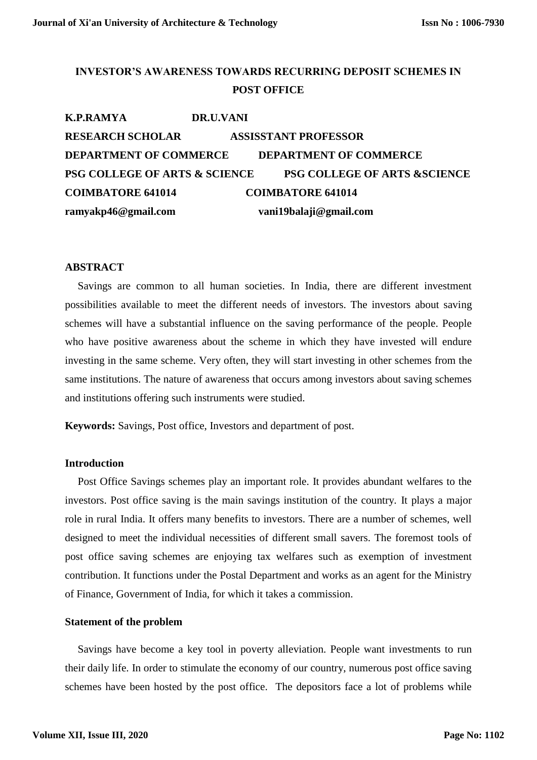## **INVESTOR'S AWARENESS TOWARDS RECURRING DEPOSIT SCHEMES IN POST OFFICE**

| <b>K.P.RAMYA</b>                         | DR.U.VANI                               |  |
|------------------------------------------|-----------------------------------------|--|
| <b>RESEARCH SCHOLAR</b>                  | <b>ASSISSTANT PROFESSOR</b>             |  |
| <b>DEPARTMENT OF COMMERCE</b>            | <b>DEPARTMENT OF COMMERCE</b>           |  |
| <b>PSG COLLEGE OF ARTS &amp; SCIENCE</b> | <b>PSG COLLEGE OF ARTS &amp;SCIENCE</b> |  |
| <b>COIMBATORE 641014</b>                 | <b>COIMBATORE 641014</b>                |  |
| ramyakp46@gmail.com                      | vani19balaji@gmail.com                  |  |

#### **ABSTRACT**

Savings are common to all human societies. In India, there are different investment possibilities available to meet the different needs of investors. The investors about saving schemes will have a substantial influence on the saving performance of the people. People who have positive awareness about the scheme in which they have invested will endure investing in the same scheme. Very often, they will start investing in other schemes from the same institutions. The nature of awareness that occurs among investors about saving schemes and institutions offering such instruments were studied.

**Keywords:** Savings, Post office, Investors and department of post.

#### **Introduction**

Post Office Savings schemes play an important role. It provides abundant welfares to the investors. Post office saving is the main savings institution of the country. It plays a major role in rural India. It offers many benefits to investors. There are a number of schemes, well designed to meet the individual necessities of different small savers. The foremost tools of post office saving schemes are enjoying tax welfares such as exemption of investment contribution. It functions under the Postal Department and works as an agent for the Ministry of Finance, Government of India, for which it takes a commission.

#### **Statement of the problem**

Savings have become a key tool in poverty alleviation. People want investments to run their daily life. In order to stimulate the economy of our country, numerous post office saving schemes have been hosted by the post office. The depositors face a lot of problems while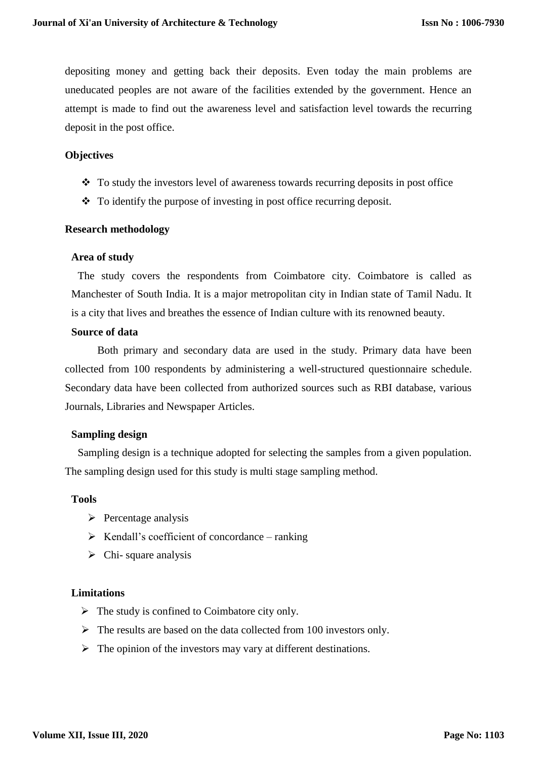depositing money and getting back their deposits. Even today the main problems are uneducated peoples are not aware of the facilities extended by the government. Hence an attempt is made to find out the awareness level and satisfaction level towards the recurring deposit in the post office.

## **Objectives**

- To study the investors level of awareness towards recurring deposits in post office
- To identify the purpose of investing in post office recurring deposit.

## **Research methodology**

#### **Area of study**

The study covers the respondents from Coimbatore city. Coimbatore is called as Manchester of South India. It is a major metropolitan city in Indian state of Tamil Nadu. It is a city that lives and breathes the essence of Indian culture with its renowned beauty.

## **Source of data**

Both primary and secondary data are used in the study. Primary data have been collected from 100 respondents by administering a well-structured questionnaire schedule. Secondary data have been collected from authorized sources such as RBI database, various Journals, Libraries and Newspaper Articles.

## **Sampling design**

Sampling design is a technique adopted for selecting the samples from a given population. The sampling design used for this study is multi stage sampling method.

## **Tools**

- $\triangleright$  Percentage analysis
- $\triangleright$  Kendall's coefficient of concordance ranking
- $\triangleright$  Chi- square analysis

## **Limitations**

- $\triangleright$  The study is confined to Coimbatore city only.
- $\triangleright$  The results are based on the data collected from 100 investors only.
- $\triangleright$  The opinion of the investors may vary at different destinations.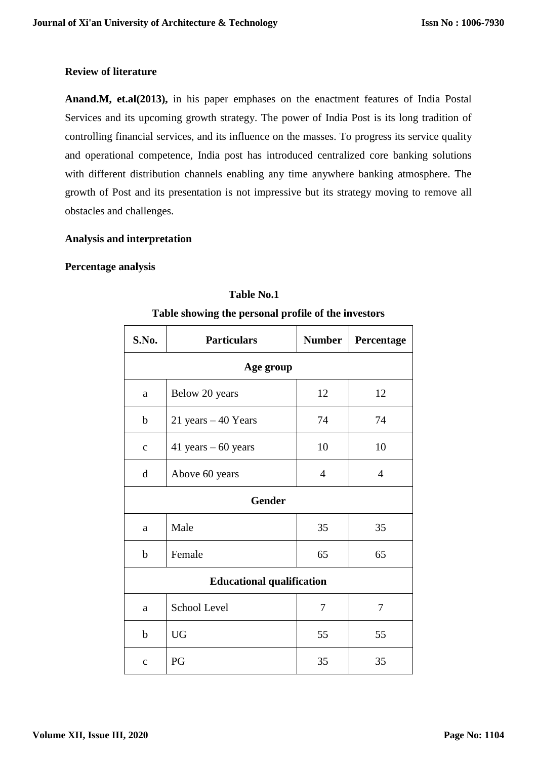## **Review of literature**

**Anand.M, et.al(2013),** in his paper emphases on the enactment features of India Postal Services and its upcoming growth strategy. The power of India Post is its long tradition of controlling financial services, and its influence on the masses. To progress its service quality and operational competence, India post has introduced centralized core banking solutions with different distribution channels enabling any time anywhere banking atmosphere. The growth of Post and its presentation is not impressive but its strategy moving to remove all obstacles and challenges.

## **Analysis and interpretation**

## **Percentage analysis**

| S.No.                            | <b>Particulars</b>     | <b>Number</b>  | Percentage     |
|----------------------------------|------------------------|----------------|----------------|
| Age group                        |                        |                |                |
| a                                | Below 20 years         | 12             | 12             |
| $\mathbf b$                      | $21$ years $-40$ Years | 74             | 74             |
| $\mathbf{C}$                     | 41 years $-60$ years   | 10             | 10             |
| $\mathbf d$                      | Above 60 years         | $\overline{4}$ | $\overline{4}$ |
| <b>Gender</b>                    |                        |                |                |
| a                                | Male                   | 35             | 35             |
| $\mathbf b$                      | Female                 | 65             | 65             |
| <b>Educational qualification</b> |                        |                |                |
| a                                | School Level           | 7              | 7              |
| $\mathbf b$                      | <b>UG</b>              | 55             | 55             |
| $\mathbf{C}$                     | PG                     | 35             | 35             |

# **Table No.1**

## **Table showing the personal profile of the investors**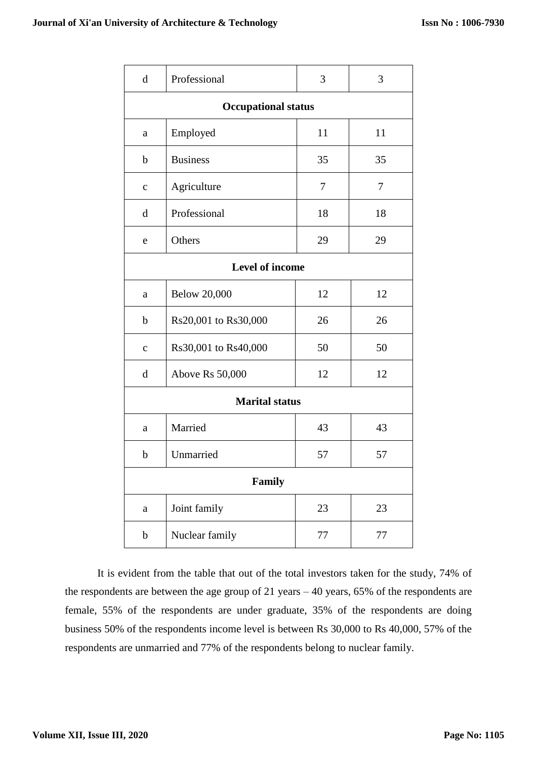| $\mathbf d$                | Professional         | 3  | 3  |
|----------------------------|----------------------|----|----|
| <b>Occupational status</b> |                      |    |    |
| a                          | Employed             | 11 | 11 |
| $\mathbf b$                | <b>Business</b>      | 35 | 35 |
| $\mathbf{C}$               | Agriculture          | 7  | 7  |
| d                          | Professional         | 18 | 18 |
| e                          | Others               | 29 | 29 |
| Level of income            |                      |    |    |
| a                          | <b>Below 20,000</b>  | 12 | 12 |
| $\mathbf b$                | Rs20,001 to Rs30,000 | 26 | 26 |
| $\mathbf{C}$               | Rs30,001 to Rs40,000 | 50 | 50 |
| $\mathbf d$                | Above Rs 50,000      | 12 | 12 |
| <b>Marital status</b>      |                      |    |    |
| a                          | Married              | 43 | 43 |
| $\mathbf b$                | Unmarried            | 57 | 57 |
| Family                     |                      |    |    |
| a                          | Joint family         | 23 | 23 |
| b                          | Nuclear family       | 77 | 77 |

It is evident from the table that out of the total investors taken for the study, 74% of the respondents are between the age group of 21 years – 40 years, 65% of the respondents are female, 55% of the respondents are under graduate, 35% of the respondents are doing business 50% of the respondents income level is between Rs 30,000 to Rs 40,000, 57% of the respondents are unmarried and 77% of the respondents belong to nuclear family.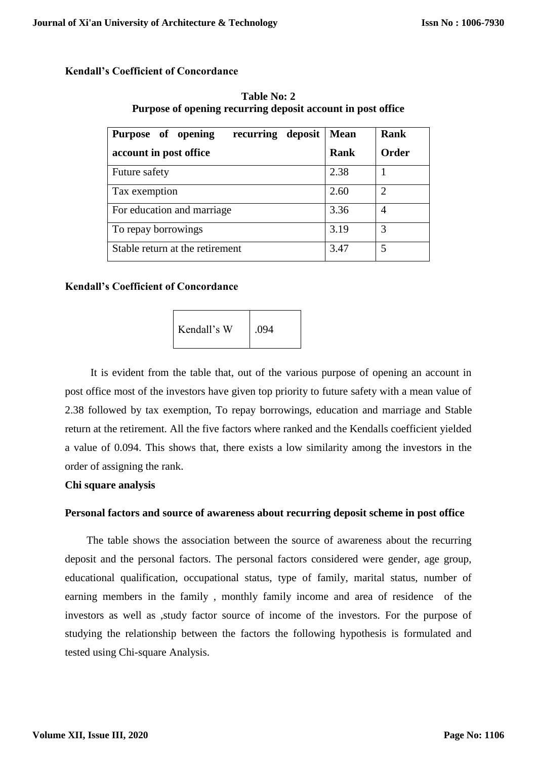#### **Kendall's Coefficient of Concordance**

| Table No: 2                                                 |
|-------------------------------------------------------------|
| Purpose of opening recurring deposit account in post office |

| recurring deposit<br>Purpose of opening | <b>Mean</b> | Rank           |
|-----------------------------------------|-------------|----------------|
| account in post office                  | <b>Rank</b> | <b>Order</b>   |
| Future safety                           | 2.38        |                |
| Tax exemption                           | 2.60        | $\overline{c}$ |
| For education and marriage              | 3.36        | 4              |
| To repay borrowings                     | 3.19        | 3              |
| Stable return at the retirement         | 3.47        | 5              |

#### **Kendall's Coefficient of Concordance**

Kendall's W $\vert$ .094

It is evident from the table that, out of the various purpose of opening an account in post office most of the investors have given top priority to future safety with a mean value of 2.38 followed by tax exemption, To repay borrowings, education and marriage and Stable return at the retirement. All the five factors where ranked and the Kendalls coefficient yielded a value of 0.094. This shows that, there exists a low similarity among the investors in the order of assigning the rank.

#### **Chi square analysis**

#### **Personal factors and source of awareness about recurring deposit scheme in post office**

The table shows the association between the source of awareness about the recurring deposit and the personal factors. The personal factors considered were gender, age group, educational qualification, occupational status, type of family, marital status, number of earning members in the family , monthly family income and area of residence of the investors as well as ,study factor source of income of the investors. For the purpose of studying the relationship between the factors the following hypothesis is formulated and tested using Chi-square Analysis.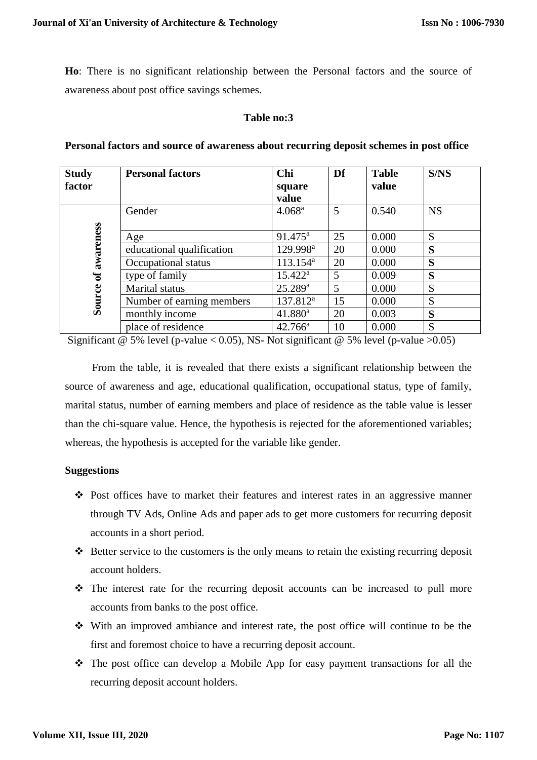**Ho**: There is no significant relationship between the Personal factors and the source of awareness about post office savings schemes.

#### **Table no:3**

| <b>Study</b> | <b>Personal factors</b>   | Chi                  | Df | <b>Table</b> | S/NS      |
|--------------|---------------------------|----------------------|----|--------------|-----------|
| factor       |                           | square               |    | value        |           |
|              |                           | value                |    |              |           |
|              | Gender                    | 4.068 <sup>a</sup>   | 5  | 0.540        | <b>NS</b> |
|              |                           |                      |    |              |           |
| of awareness | Age                       | 91.475 <sup>a</sup>  | 25 | 0.000        | S         |
|              | educational qualification | 129.998 <sup>a</sup> | 20 | 0.000        | S         |
|              | Occupational status       | $113.154^a$          | 20 | 0.000        | S         |
|              | type of family            | $15.422^{\rm a}$     | 5  | 0.009        | S         |
|              | Marital status            | $25.289^{\rm a}$     | 5  | 0.000        | S         |
| Source       | Number of earning members | 137.812 <sup>a</sup> | 15 | 0.000        | S         |
|              | monthly income            | $41.880^a$           | 20 | 0.003        | S         |
|              | place of residence        | $42.766^a$           | 10 | 0.000        | S         |

**Personal factors and source of awareness about recurring deposit schemes in post office** 

Significant @ 5% level (p-value < 0.05), NS- Not significant @ 5% level (p-value > 0.05)

 From the table, it is revealed that there exists a significant relationship between the source of awareness and age, educational qualification, occupational status, type of family, marital status, number of earning members and place of residence as the table value is lesser than the chi-square value. Hence, the hypothesis is rejected for the aforementioned variables; whereas, the hypothesis is accepted for the variable like gender.

## **Suggestions**

- $\triangle$  Post offices have to market their features and interest rates in an aggressive manner through TV Ads, Online Ads and paper ads to get more customers for recurring deposit accounts in a short period.
- $\triangle$  Better service to the customers is the only means to retain the existing recurring deposit account holders.
- $\hat{\mathbf{v}}$  The interest rate for the recurring deposit accounts can be increased to pull more accounts from banks to the post office.
- With an improved ambiance and interest rate, the post office will continue to be the first and foremost choice to have a recurring deposit account.
- $\hat{\mathbf{v}}$  The post office can develop a Mobile App for easy payment transactions for all the recurring deposit account holders.